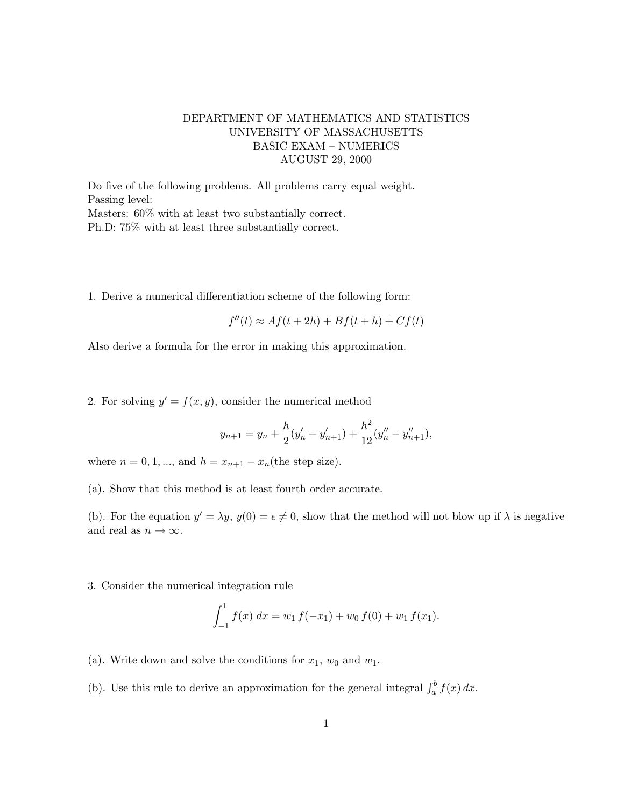## DEPARTMENT OF MATHEMATICS AND STATISTICS UNIVERSITY OF MASSACHUSETTS BASIC EXAM – NUMERICS AUGUST 29, 2000

Do five of the following problems. All problems carry equal weight. Passing level: Masters: 60% with at least two substantially correct. Ph.D: 75% with at least three substantially correct.

1. Derive a numerical differentiation scheme of the following form:

$$
f''(t) \approx Af(t + 2h) + Bf(t + h) + Cf(t)
$$

Also derive a formula for the error in making this approximation.

2. For solving  $y' = f(x, y)$ , consider the numerical method

$$
y_{n+1} = y_n + \frac{h}{2}(y'_n + y'_{n+1}) + \frac{h^2}{12}(y''_n - y''_{n+1}),
$$

where  $n = 0, 1, ...,$  and  $h = x_{n+1} - x_n$  (the step size).

(a). Show that this method is at least fourth order accurate.

(b). For the equation  $y' = \lambda y$ ,  $y(0) = \epsilon \neq 0$ , show that the method will not blow up if  $\lambda$  is negative and real as  $n \to \infty$ .

3. Consider the numerical integration rule

$$
\int_{-1}^{1} f(x) dx = w_1 f(-x_1) + w_0 f(0) + w_1 f(x_1).
$$

- (a). Write down and solve the conditions for  $x_1$ ,  $w_0$  and  $w_1$ .
- (b). Use this rule to derive an approximation for the general integral  $\int_a^b f(x) dx$ .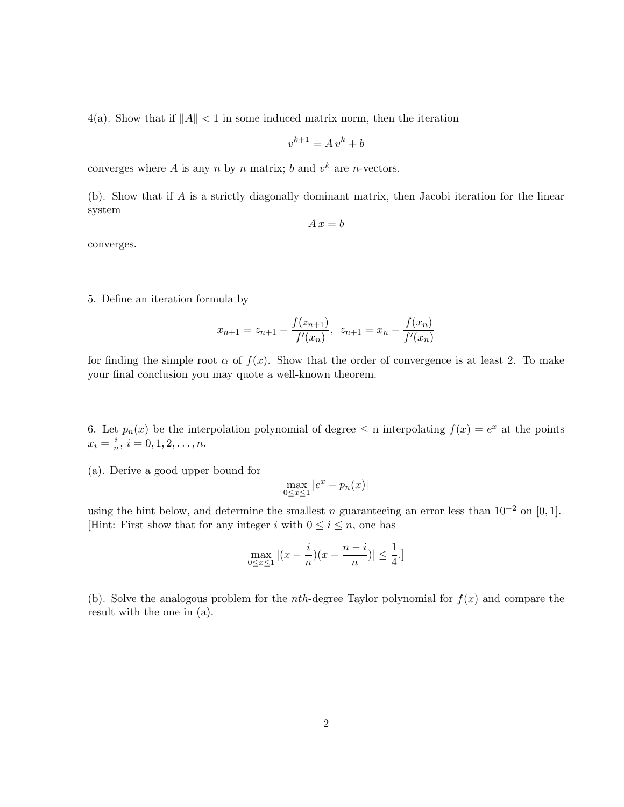4(a). Show that if  $||A|| < 1$  in some induced matrix norm, then the iteration

$$
v^{k+1} = A v^k + b
$$

converges where A is any n by n matrix; b and  $v^k$  are n-vectors.

(b). Show that if A is a strictly diagonally dominant matrix, then Jacobi iteration for the linear system

$$
A\,x = b
$$

converges.

5. Define an iteration formula by

$$
x_{n+1} = z_{n+1} - \frac{f(z_{n+1})}{f'(x_n)}, \ \ z_{n+1} = x_n - \frac{f(x_n)}{f'(x_n)}
$$

for finding the simple root  $\alpha$  of  $f(x)$ . Show that the order of convergence is at least 2. To make your final conclusion you may quote a well-known theorem.

6. Let  $p_n(x)$  be the interpolation polynomial of degree  $\leq$  n interpolating  $f(x) = e^x$  at the points  $x_i = \frac{i}{n}$  $\frac{i}{n}, i = 0, 1, 2, \ldots, n.$ 

(a). Derive a good upper bound for

$$
\max_{0 \le x \le 1} |e^x - p_n(x)|
$$

using the hint below, and determine the smallest n guaranteeing an error less than  $10^{-2}$  on [0, 1]. [Hint: First show that for any integer i with  $0 \le i \le n$ , one has

$$
\max_{0\leq x\leq 1}|(x-\frac{i}{n})(x-\frac{n-i}{n})|\leq \frac{1}{4}.]
$$

(b). Solve the analogous problem for the *nth*-degree Taylor polynomial for  $f(x)$  and compare the result with the one in (a).